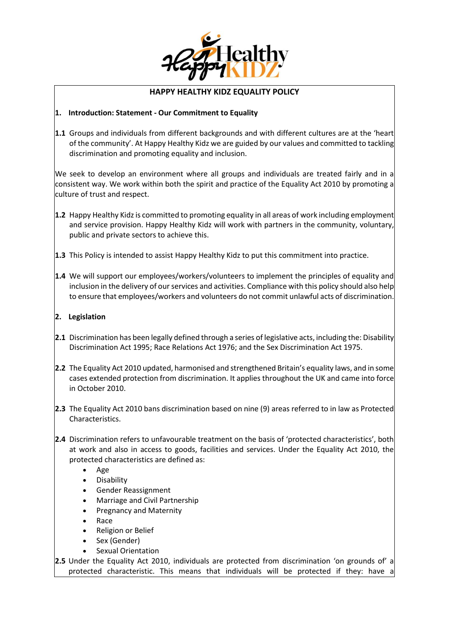

# **HAPPY HEALTHY KIDZ EQUALITY POLICY**

### **1. Introduction: Statement - Our Commitment to Equality**

**1.1** Groups and individuals from different backgrounds and with different cultures are at the 'heart of the community'. At Happy Healthy Kidz we are guided by our values and committed to tackling discrimination and promoting equality and inclusion.

We seek to develop an environment where all groups and individuals are treated fairly and in a consistent way. We work within both the spirit and practice of the Equality Act 2010 by promoting a culture of trust and respect.

- **1.2** Happy Healthy Kidzis committed to promoting equality in all areas of work including employment and service provision. Happy Healthy Kidz will work with partners in the community, voluntary, public and private sectors to achieve this.
- **1.3** This Policy is intended to assist Happy Healthy Kidz to put this commitment into practice.
- **1.4** We will support our employees/workers/volunteers to implement the principles of equality and inclusion in the delivery of our services and activities. Compliance with this policy should also help to ensure that employees/workers and volunteers do not commit unlawful acts of discrimination.

### **2. Legislation**

- **2.1** Discrimination has been legally defined through a series of legislative acts, including the: Disability Discrimination Act 1995; Race Relations Act 1976; and the Sex Discrimination Act 1975.
- **2.2** The Equality Act 2010 updated, harmonised and strengthened Britain's equality laws, and in some cases extended protection from discrimination. It applies throughout the UK and came into force in October 2010.
- **2.3** The Equality Act 2010 bans discrimination based on nine (9) areas referred to in law as Protected Characteristics.
- **2.4** Discrimination refers to unfavourable treatment on the basis of 'protected characteristics', both at work and also in access to goods, facilities and services. Under the Equality Act 2010, the protected characteristics are defined as:
	- Age
	- Disability
	- Gender Reassignment
	- Marriage and Civil Partnership
	- Pregnancy and Maternity
	- Race
	- Religion or Belief
	- Sex (Gender)
	- Sexual Orientation
- **2.5** Under the Equality Act 2010, individuals are protected from discrimination 'on grounds of' a protected characteristic. This means that individuals will be protected if they: have a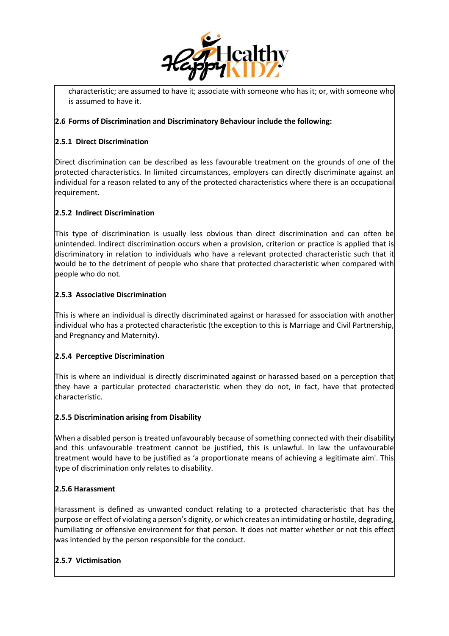

characteristic; are assumed to have it; associate with someone who has it; or, with someone who is assumed to have it.

### **2.6 Forms of Discrimination and Discriminatory Behaviour include the following:**

### **2.5.1 Direct Discrimination**

Direct discrimination can be described as less favourable treatment on the grounds of one of the protected characteristics. In limited circumstances, employers can directly discriminate against an individual for a reason related to any of the protected characteristics where there is an occupational requirement.

### **2.5.2 Indirect Discrimination**

This type of discrimination is usually less obvious than direct discrimination and can often be unintended. Indirect discrimination occurs when a provision, criterion or practice is applied that is discriminatory in relation to individuals who have a relevant protected characteristic such that it would be to the detriment of people who share that protected characteristic when compared with people who do not.

#### **2.5.3 Associative Discrimination**

This is where an individual is directly discriminated against or harassed for association with another individual who has a protected characteristic (the exception to this is Marriage and Civil Partnership, and Pregnancy and Maternity).

# **2.5.4 Perceptive Discrimination**

This is where an individual is directly discriminated against or harassed based on a perception that they have a particular protected characteristic when they do not, in fact, have that protected characteristic.

#### **2.5.5 Discrimination arising from Disability**

When a disabled person is treated unfavourably because of something connected with their disability and this unfavourable treatment cannot be justified, this is unlawful. In law the unfavourable treatment would have to be justified as 'a proportionate means of achieving a legitimate aim'. This type of discrimination only relates to disability.

# **2.5.6 Harassment**

Harassment is defined as unwanted conduct relating to a protected characteristic that has the purpose or effect of violating a person's dignity, or which creates an intimidating or hostile, degrading, humiliating or offensive environment for that person. It does not matter whether or not this effect was intended by the person responsible for the conduct.

# **2.5.7 Victimisation**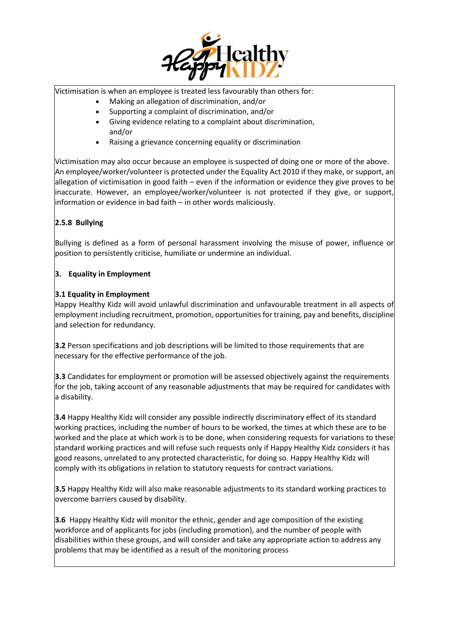

Victimisation is when an employee is treated less favourably than others for:

- Making an allegation of discrimination, and/or
- Supporting a complaint of discrimination, and/or
- Giving evidence relating to a complaint about discrimination, and/or
- Raising a grievance concerning equality or discrimination

Victimisation may also occur because an employee is suspected of doing one or more of the above. An employee/worker/volunteer is protected under the Equality Act 2010 if they make, or support, an allegation of victimisation in good faith – even if the information or evidence they give proves to be inaccurate. However, an employee/worker/volunteer is not protected if they give, or support, information or evidence in bad faith – in other words maliciously.

# **2.5.8 Bullying**

Bullying is defined as a form of personal harassment involving the misuse of power, influence or position to persistently criticise, humiliate or undermine an individual.

#### **3. Equality in Employment**

#### **3.1 Equality in Employment**

Happy Healthy Kidz will avoid unlawful discrimination and unfavourable treatment in all aspects of employment including recruitment, promotion, opportunities for training, pay and benefits, discipline and selection for redundancy.

**3.2** Person specifications and job descriptions will be limited to those requirements that are necessary for the effective performance of the job.

**3.3** Candidates for employment or promotion will be assessed objectively against the requirements for the job, taking account of any reasonable adjustments that may be required for candidates with a disability.

**3.4** Happy Healthy Kidz will consider any possible indirectly discriminatory effect of its standard working practices, including the number of hours to be worked, the times at which these are to be worked and the place at which work is to be done, when considering requests for variations to these standard working practices and will refuse such requests only if Happy Healthy Kidz considers it has good reasons, unrelated to any protected characteristic, for doing so. Happy Healthy Kidz will comply with its obligations in relation to statutory requests for contract variations.

**3.5** Happy Healthy Kidz will also make reasonable adjustments to its standard working practices to overcome barriers caused by disability.

**3.6** Happy Healthy Kidz will monitor the ethnic, gender and age composition of the existing workforce and of applicants for jobs (including promotion), and the number of people with disabilities within these groups, and will consider and take any appropriate action to address any problems that may be identified as a result of the monitoring process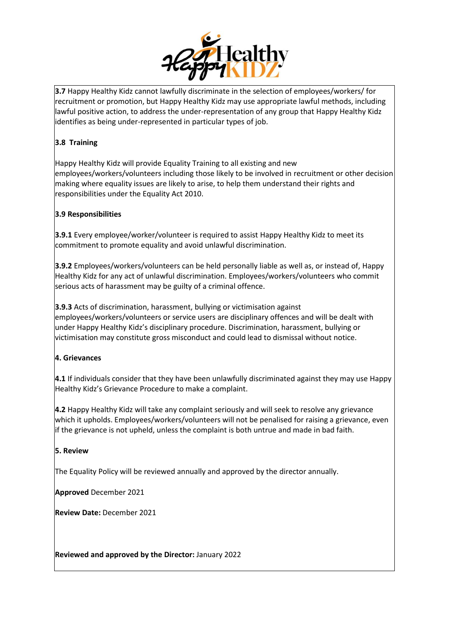

**3.7** Happy Healthy Kidz cannot lawfully discriminate in the selection of employees/workers/ for recruitment or promotion, but Happy Healthy Kidz may use appropriate lawful methods, including lawful positive action, to address the under-representation of any group that Happy Healthy Kidz identifies as being under-represented in particular types of job.

# **3.8 Training**

Happy Healthy Kidz will provide Equality Training to all existing and new employees/workers/volunteers including those likely to be involved in recruitment or other decision making where equality issues are likely to arise, to help them understand their rights and responsibilities under the Equality Act 2010.

# **3.9 Responsibilities**

**3.9.1** Every employee/worker/volunteer is required to assist Happy Healthy Kidz to meet its commitment to promote equality and avoid unlawful discrimination.

**3.9.2** Employees/workers/volunteers can be held personally liable as well as, or instead of, Happy Healthy Kidz for any act of unlawful discrimination. Employees/workers/volunteers who commit serious acts of harassment may be guilty of a criminal offence.

**3.9.3** Acts of discrimination, harassment, bullying or victimisation against employees/workers/volunteers or service users are disciplinary offences and will be dealt with under Happy Healthy Kidz's disciplinary procedure. Discrimination, harassment, bullying or victimisation may constitute gross misconduct and could lead to dismissal without notice.

# **4. Grievances**

**4.1** If individuals consider that they have been unlawfully discriminated against they may use Happy Healthy Kidz's Grievance Procedure to make a complaint.

**4.2** Happy Healthy Kidz will take any complaint seriously and will seek to resolve any grievance which it upholds. Employees/workers/volunteers will not be penalised for raising a grievance, even if the grievance is not upheld, unless the complaint is both untrue and made in bad faith.

# **5. Review**

The Equality Policy will be reviewed annually and approved by the director annually.

**Approved** December 2021

**Review Date:** December 2021

**Reviewed and approved by the Director:** January 2022